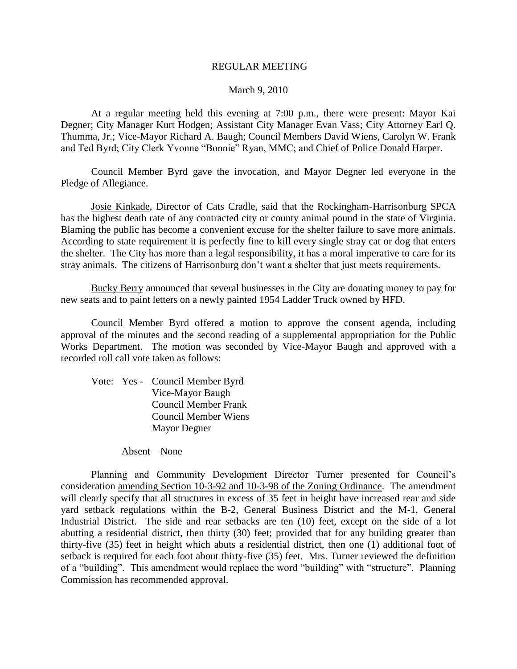### REGULAR MEETING

### March 9, 2010

At a regular meeting held this evening at 7:00 p.m., there were present: Mayor Kai Degner; City Manager Kurt Hodgen; Assistant City Manager Evan Vass; City Attorney Earl Q. Thumma, Jr.; Vice-Mayor Richard A. Baugh; Council Members David Wiens, Carolyn W. Frank and Ted Byrd; City Clerk Yvonne "Bonnie" Ryan, MMC; and Chief of Police Donald Harper.

Council Member Byrd gave the invocation, and Mayor Degner led everyone in the Pledge of Allegiance.

Josie Kinkade, Director of Cats Cradle, said that the Rockingham-Harrisonburg SPCA has the highest death rate of any contracted city or county animal pound in the state of Virginia. Blaming the public has become a convenient excuse for the shelter failure to save more animals. According to state requirement it is perfectly fine to kill every single stray cat or dog that enters the shelter. The City has more than a legal responsibility, it has a moral imperative to care for its stray animals. The citizens of Harrisonburg don't want a shelter that just meets requirements.

Bucky Berry announced that several businesses in the City are donating money to pay for new seats and to paint letters on a newly painted 1954 Ladder Truck owned by HFD.

Council Member Byrd offered a motion to approve the consent agenda, including approval of the minutes and the second reading of a supplemental appropriation for the Public Works Department. The motion was seconded by Vice-Mayor Baugh and approved with a recorded roll call vote taken as follows:

Vote: Yes - Council Member Byrd Vice-Mayor Baugh Council Member Frank Council Member Wiens Mayor Degner

Absent – None

Planning and Community Development Director Turner presented for Council's consideration amending Section 10-3-92 and 10-3-98 of the Zoning Ordinance. The amendment will clearly specify that all structures in excess of 35 feet in height have increased rear and side yard setback regulations within the B-2, General Business District and the M-1, General Industrial District. The side and rear setbacks are ten (10) feet, except on the side of a lot abutting a residential district, then thirty (30) feet; provided that for any building greater than thirty-five (35) feet in height which abuts a residential district, then one (1) additional foot of setback is required for each foot about thirty-five (35) feet. Mrs. Turner reviewed the definition of a "building". This amendment would replace the word "building" with "structure". Planning Commission has recommended approval.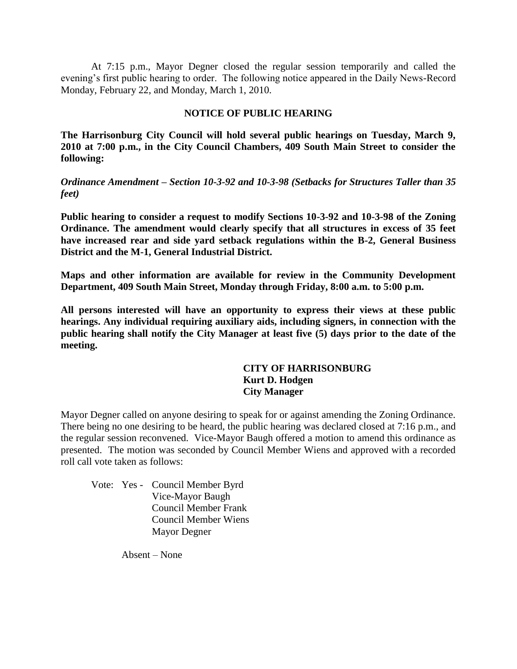At 7:15 p.m., Mayor Degner closed the regular session temporarily and called the evening's first public hearing to order. The following notice appeared in the Daily News-Record Monday, February 22, and Monday, March 1, 2010.

### **NOTICE OF PUBLIC HEARING**

**The Harrisonburg City Council will hold several public hearings on Tuesday, March 9, 2010 at 7:00 p.m., in the City Council Chambers, 409 South Main Street to consider the following:**

*Ordinance Amendment – Section 10-3-92 and 10-3-98 (Setbacks for Structures Taller than 35 feet)*

**Public hearing to consider a request to modify Sections 10-3-92 and 10-3-98 of the Zoning Ordinance. The amendment would clearly specify that all structures in excess of 35 feet have increased rear and side yard setback regulations within the B-2, General Business District and the M-1, General Industrial District.**

**Maps and other information are available for review in the Community Development Department, 409 South Main Street, Monday through Friday, 8:00 a.m. to 5:00 p.m.**

**All persons interested will have an opportunity to express their views at these public hearings. Any individual requiring auxiliary aids, including signers, in connection with the public hearing shall notify the City Manager at least five (5) days prior to the date of the meeting.**

# **CITY OF HARRISONBURG Kurt D. Hodgen City Manager**

Mayor Degner called on anyone desiring to speak for or against amending the Zoning Ordinance. There being no one desiring to be heard, the public hearing was declared closed at 7:16 p.m., and the regular session reconvened. Vice-Mayor Baugh offered a motion to amend this ordinance as presented. The motion was seconded by Council Member Wiens and approved with a recorded roll call vote taken as follows:

Vote: Yes - Council Member Byrd Vice-Mayor Baugh Council Member Frank Council Member Wiens Mayor Degner

Absent – None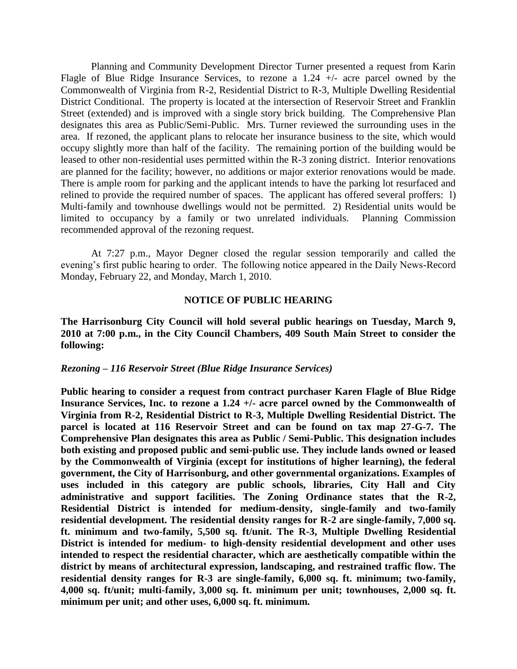Planning and Community Development Director Turner presented a request from Karin Flagle of Blue Ridge Insurance Services, to rezone a 1.24 +/- acre parcel owned by the Commonwealth of Virginia from R-2, Residential District to R-3, Multiple Dwelling Residential District Conditional. The property is located at the intersection of Reservoir Street and Franklin Street (extended) and is improved with a single story brick building. The Comprehensive Plan designates this area as Public/Semi-Public. Mrs. Turner reviewed the surrounding uses in the area. If rezoned, the applicant plans to relocate her insurance business to the site, which would occupy slightly more than half of the facility. The remaining portion of the building would be leased to other non-residential uses permitted within the R-3 zoning district. Interior renovations are planned for the facility; however, no additions or major exterior renovations would be made. There is ample room for parking and the applicant intends to have the parking lot resurfaced and relined to provide the required number of spaces. The applicant has offered several proffers: l) Multi-family and townhouse dwellings would not be permitted. 2) Residential units would be limited to occupancy by a family or two unrelated individuals. Planning Commission recommended approval of the rezoning request.

At 7:27 p.m., Mayor Degner closed the regular session temporarily and called the evening's first public hearing to order. The following notice appeared in the Daily News-Record Monday, February 22, and Monday, March 1, 2010.

### **NOTICE OF PUBLIC HEARING**

**The Harrisonburg City Council will hold several public hearings on Tuesday, March 9, 2010 at 7:00 p.m., in the City Council Chambers, 409 South Main Street to consider the following:**

### *Rezoning – 116 Reservoir Street (Blue Ridge Insurance Services)*

**Public hearing to consider a request from contract purchaser Karen Flagle of Blue Ridge Insurance Services, Inc. to rezone a 1.24 +/- acre parcel owned by the Commonwealth of Virginia from R-2, Residential District to R-3, Multiple Dwelling Residential District. The parcel is located at 116 Reservoir Street and can be found on tax map 27-G-7. The Comprehensive Plan designates this area as Public / Semi-Public. This designation includes both existing and proposed public and semi-public use. They include lands owned or leased by the Commonwealth of Virginia (except for institutions of higher learning), the federal government, the City of Harrisonburg, and other governmental organizations. Examples of uses included in this category are public schools, libraries, City Hall and City administrative and support facilities. The Zoning Ordinance states that the R-2, Residential District is intended for medium-density, single-family and two-family residential development. The residential density ranges for R-2 are single-family, 7,000 sq. ft. minimum and two-family, 5,500 sq. ft/unit. The R-3, Multiple Dwelling Residential District is intended for medium- to high-density residential development and other uses intended to respect the residential character, which are aesthetically compatible within the district by means of architectural expression, landscaping, and restrained traffic flow. The residential density ranges for R-3 are single-family, 6,000 sq. ft. minimum; two-family, 4,000 sq. ft/unit; multi-family, 3,000 sq. ft. minimum per unit; townhouses, 2,000 sq. ft. minimum per unit; and other uses, 6,000 sq. ft. minimum.**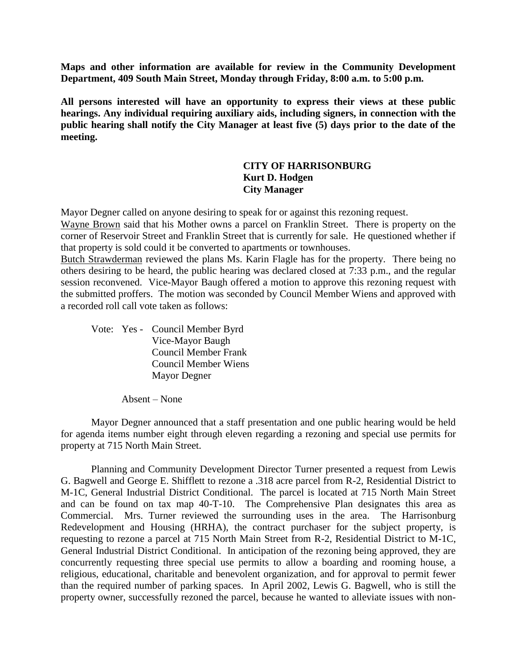**Maps and other information are available for review in the Community Development Department, 409 South Main Street, Monday through Friday, 8:00 a.m. to 5:00 p.m.**

**All persons interested will have an opportunity to express their views at these public hearings. Any individual requiring auxiliary aids, including signers, in connection with the public hearing shall notify the City Manager at least five (5) days prior to the date of the meeting.**

# **CITY OF HARRISONBURG Kurt D. Hodgen City Manager**

Mayor Degner called on anyone desiring to speak for or against this rezoning request.

Wayne Brown said that his Mother owns a parcel on Franklin Street. There is property on the corner of Reservoir Street and Franklin Street that is currently for sale. He questioned whether if that property is sold could it be converted to apartments or townhouses.

Butch Strawderman reviewed the plans Ms. Karin Flagle has for the property. There being no others desiring to be heard, the public hearing was declared closed at 7:33 p.m., and the regular session reconvened. Vice-Mayor Baugh offered a motion to approve this rezoning request with the submitted proffers. The motion was seconded by Council Member Wiens and approved with a recorded roll call vote taken as follows:

Vote: Yes - Council Member Byrd Vice-Mayor Baugh Council Member Frank Council Member Wiens Mayor Degner

Absent – None

Mayor Degner announced that a staff presentation and one public hearing would be held for agenda items number eight through eleven regarding a rezoning and special use permits for property at 715 North Main Street.

Planning and Community Development Director Turner presented a request from Lewis G. Bagwell and George E. Shifflett to rezone a .318 acre parcel from R-2, Residential District to M-1C, General Industrial District Conditional. The parcel is located at 715 North Main Street and can be found on tax map 40-T-10. The Comprehensive Plan designates this area as Commercial. Mrs. Turner reviewed the surrounding uses in the area. The Harrisonburg Redevelopment and Housing (HRHA), the contract purchaser for the subject property, is requesting to rezone a parcel at 715 North Main Street from R-2, Residential District to M-1C, General Industrial District Conditional. In anticipation of the rezoning being approved, they are concurrently requesting three special use permits to allow a boarding and rooming house, a religious, educational, charitable and benevolent organization, and for approval to permit fewer than the required number of parking spaces. In April 2002, Lewis G. Bagwell, who is still the property owner, successfully rezoned the parcel, because he wanted to alleviate issues with non-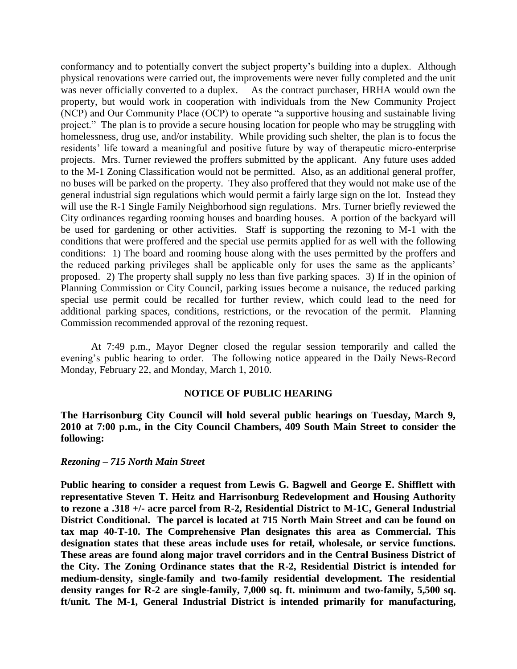conformancy and to potentially convert the subject property's building into a duplex. Although physical renovations were carried out, the improvements were never fully completed and the unit was never officially converted to a duplex. As the contract purchaser, HRHA would own the property, but would work in cooperation with individuals from the New Community Project (NCP) and Our Community Place (OCP) to operate "a supportive housing and sustainable living project." The plan is to provide a secure housing location for people who may be struggling with homelessness, drug use, and/or instability. While providing such shelter, the plan is to focus the residents' life toward a meaningful and positive future by way of therapeutic micro-enterprise projects. Mrs. Turner reviewed the proffers submitted by the applicant. Any future uses added to the M-1 Zoning Classification would not be permitted. Also, as an additional general proffer, no buses will be parked on the property. They also proffered that they would not make use of the general industrial sign regulations which would permit a fairly large sign on the lot. Instead they will use the R-1 Single Family Neighborhood sign regulations. Mrs. Turner briefly reviewed the City ordinances regarding rooming houses and boarding houses. A portion of the backyard will be used for gardening or other activities. Staff is supporting the rezoning to M-1 with the conditions that were proffered and the special use permits applied for as well with the following conditions: 1) The board and rooming house along with the uses permitted by the proffers and the reduced parking privileges shall be applicable only for uses the same as the applicants' proposed. 2) The property shall supply no less than five parking spaces. 3) If in the opinion of Planning Commission or City Council, parking issues become a nuisance, the reduced parking special use permit could be recalled for further review, which could lead to the need for additional parking spaces, conditions, restrictions, or the revocation of the permit. Planning Commission recommended approval of the rezoning request.

At 7:49 p.m., Mayor Degner closed the regular session temporarily and called the evening's public hearing to order. The following notice appeared in the Daily News-Record Monday, February 22, and Monday, March 1, 2010.

### **NOTICE OF PUBLIC HEARING**

**The Harrisonburg City Council will hold several public hearings on Tuesday, March 9, 2010 at 7:00 p.m., in the City Council Chambers, 409 South Main Street to consider the following:**

### *Rezoning – 715 North Main Street*

**Public hearing to consider a request from Lewis G. Bagwell and George E. Shifflett with representative Steven T. Heitz and Harrisonburg Redevelopment and Housing Authority to rezone a .318 +/- acre parcel from R-2, Residential District to M-1C, General Industrial District Conditional. The parcel is located at 715 North Main Street and can be found on tax map 40-T-10. The Comprehensive Plan designates this area as Commercial. This designation states that these areas include uses for retail, wholesale, or service functions. These areas are found along major travel corridors and in the Central Business District of the City. The Zoning Ordinance states that the R-2, Residential District is intended for medium-density, single-family and two-family residential development. The residential**  density ranges for R-2 are single-family, 7,000 sq. ft. minimum and two-family, 5,500 sq. **ft/unit. The M-1, General Industrial District is intended primarily for manufacturing,**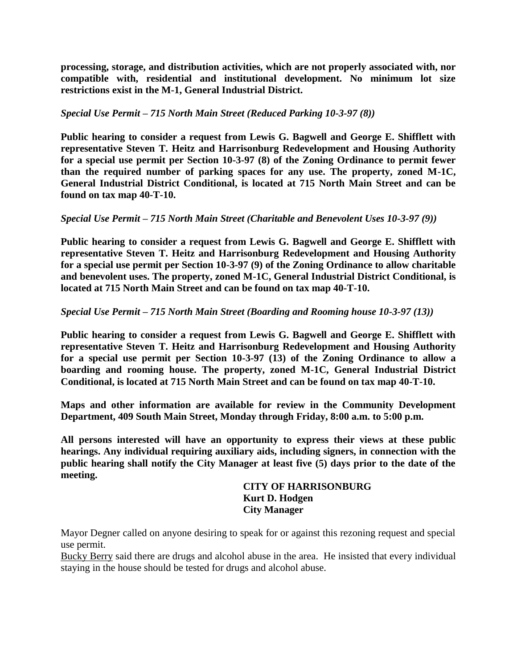**processing, storage, and distribution activities, which are not properly associated with, nor compatible with, residential and institutional development. No minimum lot size restrictions exist in the M-1, General Industrial District.**

# *Special Use Permit – 715 North Main Street (Reduced Parking 10-3-97 (8))*

**Public hearing to consider a request from Lewis G. Bagwell and George E. Shifflett with representative Steven T. Heitz and Harrisonburg Redevelopment and Housing Authority for a special use permit per Section 10-3-97 (8) of the Zoning Ordinance to permit fewer than the required number of parking spaces for any use. The property, zoned M-1C, General Industrial District Conditional, is located at 715 North Main Street and can be found on tax map 40-T-10.**

# *Special Use Permit – 715 North Main Street (Charitable and Benevolent Uses 10-3-97 (9))*

**Public hearing to consider a request from Lewis G. Bagwell and George E. Shifflett with representative Steven T. Heitz and Harrisonburg Redevelopment and Housing Authority for a special use permit per Section 10-3-97 (9) of the Zoning Ordinance to allow charitable and benevolent uses. The property, zoned M-1C, General Industrial District Conditional, is located at 715 North Main Street and can be found on tax map 40-T-10.**

# *Special Use Permit – 715 North Main Street (Boarding and Rooming house 10-3-97 (13))*

**Public hearing to consider a request from Lewis G. Bagwell and George E. Shifflett with representative Steven T. Heitz and Harrisonburg Redevelopment and Housing Authority for a special use permit per Section 10-3-97 (13) of the Zoning Ordinance to allow a boarding and rooming house. The property, zoned M-1C, General Industrial District Conditional, is located at 715 North Main Street and can be found on tax map 40-T-10.**

**Maps and other information are available for review in the Community Development Department, 409 South Main Street, Monday through Friday, 8:00 a.m. to 5:00 p.m.**

**All persons interested will have an opportunity to express their views at these public hearings. Any individual requiring auxiliary aids, including signers, in connection with the public hearing shall notify the City Manager at least five (5) days prior to the date of the meeting.**

# **CITY OF HARRISONBURG Kurt D. Hodgen City Manager**

Mayor Degner called on anyone desiring to speak for or against this rezoning request and special use permit.

Bucky Berry said there are drugs and alcohol abuse in the area. He insisted that every individual staying in the house should be tested for drugs and alcohol abuse.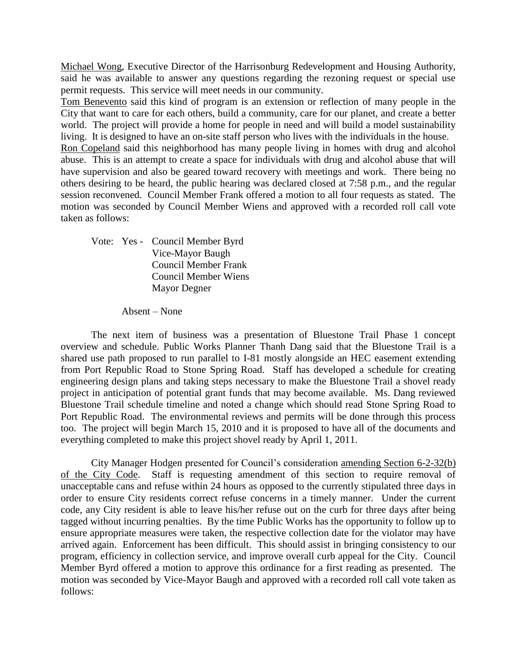Michael Wong, Executive Director of the Harrisonburg Redevelopment and Housing Authority, said he was available to answer any questions regarding the rezoning request or special use permit requests. This service will meet needs in our community.

Tom Benevento said this kind of program is an extension or reflection of many people in the City that want to care for each others, build a community, care for our planet, and create a better world. The project will provide a home for people in need and will build a model sustainability living. It is designed to have an on-site staff person who lives with the individuals in the house.

Ron Copeland said this neighborhood has many people living in homes with drug and alcohol abuse. This is an attempt to create a space for individuals with drug and alcohol abuse that will have supervision and also be geared toward recovery with meetings and work. There being no others desiring to be heard, the public hearing was declared closed at 7:58 p.m., and the regular session reconvened. Council Member Frank offered a motion to all four requests as stated. The motion was seconded by Council Member Wiens and approved with a recorded roll call vote taken as follows:

Vote: Yes - Council Member Byrd Vice-Mayor Baugh Council Member Frank Council Member Wiens Mayor Degner

Absent – None

The next item of business was a presentation of Bluestone Trail Phase 1 concept overview and schedule. Public Works Planner Thanh Dang said that the Bluestone Trail is a shared use path proposed to run parallel to I-81 mostly alongside an HEC easement extending from Port Republic Road to Stone Spring Road. Staff has developed a schedule for creating engineering design plans and taking steps necessary to make the Bluestone Trail a shovel ready project in anticipation of potential grant funds that may become available. Ms. Dang reviewed Bluestone Trail schedule timeline and noted a change which should read Stone Spring Road to Port Republic Road. The environmental reviews and permits will be done through this process too. The project will begin March 15, 2010 and it is proposed to have all of the documents and everything completed to make this project shovel ready by April 1, 2011.

City Manager Hodgen presented for Council's consideration amending Section 6-2-32(b) of the City Code. Staff is requesting amendment of this section to require removal of unacceptable cans and refuse within 24 hours as opposed to the currently stipulated three days in order to ensure City residents correct refuse concerns in a timely manner. Under the current code, any City resident is able to leave his/her refuse out on the curb for three days after being tagged without incurring penalties. By the time Public Works has the opportunity to follow up to ensure appropriate measures were taken, the respective collection date for the violator may have arrived again. Enforcement has been difficult. This should assist in bringing consistency to our program, efficiency in collection service, and improve overall curb appeal for the City. Council Member Byrd offered a motion to approve this ordinance for a first reading as presented. The motion was seconded by Vice-Mayor Baugh and approved with a recorded roll call vote taken as follows: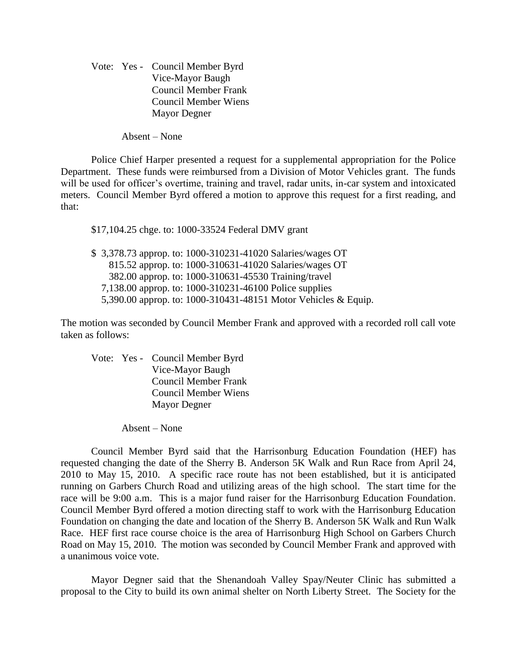Vote: Yes - Council Member Byrd Vice-Mayor Baugh Council Member Frank Council Member Wiens Mayor Degner

Absent – None

Police Chief Harper presented a request for a supplemental appropriation for the Police Department. These funds were reimbursed from a Division of Motor Vehicles grant. The funds will be used for officer's overtime, training and travel, radar units, in-car system and intoxicated meters. Council Member Byrd offered a motion to approve this request for a first reading, and that:

\$17,104.25 chge. to: 1000-33524 Federal DMV grant

\$ 3,378.73 approp. to: 1000-310231-41020 Salaries/wages OT 815.52 approp. to: 1000-310631-41020 Salaries/wages OT 382.00 approp. to: 1000-310631-45530 Training/travel 7,138.00 approp. to: 1000-310231-46100 Police supplies 5,390.00 approp. to: 1000-310431-48151 Motor Vehicles & Equip.

The motion was seconded by Council Member Frank and approved with a recorded roll call vote taken as follows:

Vote: Yes - Council Member Byrd Vice-Mayor Baugh Council Member Frank Council Member Wiens Mayor Degner

Absent – None

Council Member Byrd said that the Harrisonburg Education Foundation (HEF) has requested changing the date of the Sherry B. Anderson 5K Walk and Run Race from April 24, 2010 to May 15, 2010. A specific race route has not been established, but it is anticipated running on Garbers Church Road and utilizing areas of the high school. The start time for the race will be 9:00 a.m. This is a major fund raiser for the Harrisonburg Education Foundation. Council Member Byrd offered a motion directing staff to work with the Harrisonburg Education Foundation on changing the date and location of the Sherry B. Anderson 5K Walk and Run Walk Race. HEF first race course choice is the area of Harrisonburg High School on Garbers Church Road on May 15, 2010. The motion was seconded by Council Member Frank and approved with a unanimous voice vote.

Mayor Degner said that the Shenandoah Valley Spay/Neuter Clinic has submitted a proposal to the City to build its own animal shelter on North Liberty Street. The Society for the